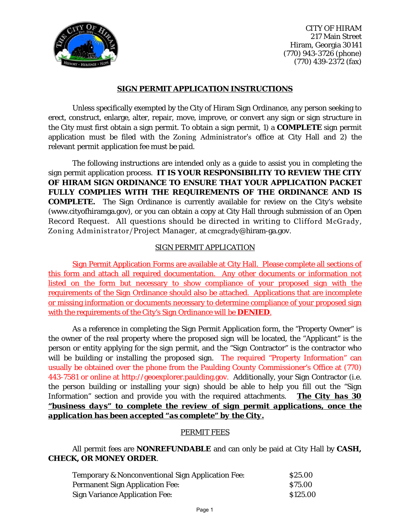

CITY OF HIRAM 217 Main Street Hiram, Georgia 30141 (770) 943-3726 (phone) (770) 439-2372 (fax)

### **SIGN PERMIT APPLICATION INSTRUCTIONS**

Unless specifically exempted by the City of Hiram Sign Ordinance, any person seeking to erect, construct, enlarge, alter, repair, move, improve, or convert any sign or sign structure in the City must first obtain a sign permit. To obtain a sign permit, 1) a **COMPLETE** sign permit application must be filed with the Zoning Administrator's office at City Hall and 2) the relevant permit application fee must be paid.

The following instructions are intended only as a guide to assist you in completing the sign permit application process. **IT IS YOUR RESPONSIBILITY TO REVIEW THE CITY OF HIRAM SIGN ORDINANCE TO ENSURE THAT YOUR APPLICATION PACKET FULLY COMPLIES WITH THE REQUIREMENTS OF THE ORDINANCE AND IS COMPLETE.** The Sign Ordinance is currently available for review on the City's website (www.cityofhiramga.gov), or you can obtain a copy at City Hall through submission of an Open Record Request. All questions should be directed in writing to Clifford McGrady, Zoning Administrator/Project Manager, at cmcgrady@hiram-ga.gov.

### SIGN PERMIT APPLICATION

Sign Permit Application Forms are available at City Hall. Please complete all sections of this form and attach all required documentation. Any other documents or information not listed on the form but necessary to show compliance of your proposed sign with the requirements of the Sign Ordinance should also be attached. Applications that are incomplete or missing information or documents necessary to determine compliance of your proposed sign with the requirements of the City's Sign Ordinance will be **DENIED**.

As a reference in completing the Sign Permit Application form, the "Property Owner" is the owner of the real property where the proposed sign will be located, the "Applicant" is the person or entity applying for the sign permit, and the "Sign Contractor" is the contractor who will be building or installing the proposed sign. The required "Property Information" can usually be obtained over the phone from the Paulding County Commissioner's Office at (770) 443-7581 or online at http://geoexplorer.paulding.gov. Additionally, your Sign Contractor (i.e. the person building or installing your sign) should be able to help you fill out the "Sign Information" section and provide you with the required attachments. *The City has 30 "business days" to complete the review of sign permit applications, once the application has been accepted "as complete" by the City.*

#### PERMIT FEES

## All permit fees are **NONREFUNDABLE** and can only be paid at City Hall by **CASH, CHECK, OR MONEY ORDER**.

| <b>Temporary &amp; Nonconventional Sign Application Fee:</b> | \$25.00  |
|--------------------------------------------------------------|----------|
| <b>Permanent Sign Application Fee:</b>                       | \$75.00  |
| <b>Sign Variance Application Fee:</b>                        | \$125.00 |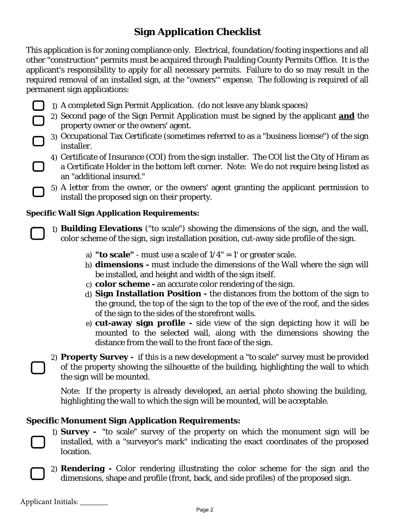# **Sign Application Checklist**

This application is for zoning compliance only. Electrical, foundation/footing inspections and all other "construction" permits must be acquired through Paulding County Permits Office. It is the applicant's responsibility to apply for all necessary permits. Failure to do so may result in the required removal of an installed sign, at the "owners'" expense. The following is required of all permanent sign applications:

- 1) A completed Sign Permit Application. (do not leave any blank spaces)
- 2) Second page of the Sign Permit Application must be signed by the applicant **and** the property owner or the owners' agent.
- 3) Occupational Tax Certificate (sometimes referred to as a "business license") of the sign installer.
	- 4) Certificate of Insurance (COI) from the sign installer. The COI list the City of Hiram as a Certificate Holder in the bottom left corner. Note: We do not require being listed as an "additional insured."
	- 5) A letter from the owner, or the owners' agent granting the applicant permission to install the proposed sign on their property.

## **Specific Wall Sign Application Requirements:**

1) **Building Elevations** ("to scale") showing the dimensions of the sign, and the wall, color scheme of the sign, sign installation position, cut-away side profile of the sign.

- a) **"to scale"** must use a scale of 1/4" = 1' or greater scale.
- b) **dimensions -** must include the dimensions of the Wall where the sign will be installed, and height and width of the sign itself.
- c) **color scheme** an accurate color rendering of the sign.
- d) **Sign Installation Position -** the distances from the bottom of the sign to the ground, the top of the sign to the top of the eve of the roof, and the sides of the sign to the sides of the storefront walls.
- e) **cut-away sign profile -** side view of the sign depicting how it will be mounted to the selected wall, along with the dimensions showing the distance from the wall to the front face of the sign.

2) **Property Survey -** if this is a new development a "to scale" survey must be provided of the property showing the silhouette of the building, highlighting the wall to which the sign will be mounted.

*Note: If the property is already developed, an aerial photo showing the building, highlighting the wall to which the sign will be mounted, will be acceptable.*

# **Specific Monument Sign Application Requirements:**

- 1) **Survey -** "to scale" survey of the property on which the monument sign will be installed, with a "surveyor's mark" indicating the exact coordinates of the proposed location.
- 2) **Rendering -** Color rendering illustrating the color scheme for the sign and the dimensions, shape and profile (front, back, and side profiles) of the proposed sign.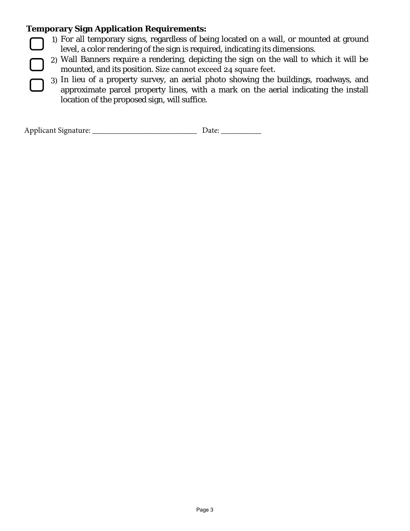# **Temporary Sign Application Requirements:**

- 1) For all temporary signs, regardless of being located on a wall, or mounted at ground level, a color rendering of the sign is required, indicating its dimensions.
- 2) Wall Banners require a rendering, depicting the sign on the wall to which it will be mounted, and its position. Size cannot exceed 24 square feet.
- 3) In lieu of a property survey, an aerial photo showing the buildings, roadways, and approximate parcel property lines, with a mark on the aerial indicating the install location of the proposed sign, will suffice.

| Applicant Signature: |  |
|----------------------|--|
|----------------------|--|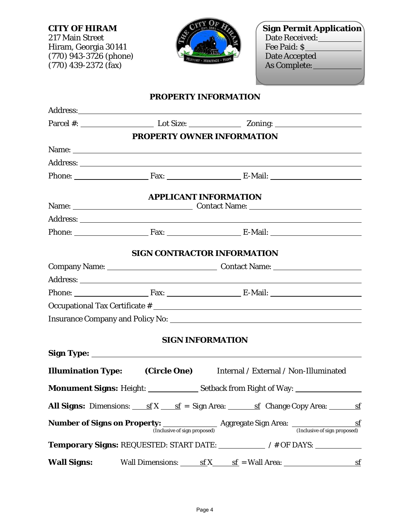217 Main Street **Date Received: Date Received:** Hiram, Georgia 30141 Fee Paid: \$ (770) 943-3726 (phone) **Date Accepted**  $(770)$  439-2372  $(fax)$  As Complete:



**CITY OF HIRAM Sign Permit Application** 

## **PROPERTY INFORMATION**

|                    | PROPERTY OWNER INFORMATION                                                                                                                                                                                                     |  |  |
|--------------------|--------------------------------------------------------------------------------------------------------------------------------------------------------------------------------------------------------------------------------|--|--|
|                    | Name: Name and the set of the set of the set of the set of the set of the set of the set of the set of the set of the set of the set of the set of the set of the set of the set of the set of the set of the set of the set o |  |  |
|                    |                                                                                                                                                                                                                                |  |  |
|                    | Phone: Fax: Fax: E-Mail:                                                                                                                                                                                                       |  |  |
|                    | <b>APPLICANT INFORMATION</b>                                                                                                                                                                                                   |  |  |
|                    |                                                                                                                                                                                                                                |  |  |
|                    |                                                                                                                                                                                                                                |  |  |
|                    | Phone: Fax: Fax: E-Mail:                                                                                                                                                                                                       |  |  |
|                    | <b>SIGN CONTRACTOR INFORMATION</b>                                                                                                                                                                                             |  |  |
|                    |                                                                                                                                                                                                                                |  |  |
|                    |                                                                                                                                                                                                                                |  |  |
|                    | Phone: Fax: Fax: E-Mail:                                                                                                                                                                                                       |  |  |
|                    |                                                                                                                                                                                                                                |  |  |
|                    |                                                                                                                                                                                                                                |  |  |
|                    | <b>SIGN INFORMATION</b>                                                                                                                                                                                                        |  |  |
|                    |                                                                                                                                                                                                                                |  |  |
|                    | <b>Illumination Type:</b> (Circle One) Internal / External / Non-Illuminated                                                                                                                                                   |  |  |
|                    |                                                                                                                                                                                                                                |  |  |
|                    | <b>All Signs:</b> Dimensions: $\underline{\text{sf}} \times \underline{\text{sf}} = \text{Sign Area}$ : $\underline{\text{sf}}$ Change Copy Area: $\underline{\text{sf}}$                                                      |  |  |
|                    | <b>Number of Signs on Property:</b> <u>(Inclusive of sign proposed</u> ) Aggregate Sign Area: (Inclusive of sign proposed)                                                                                                     |  |  |
|                    | Temporary Signs: REQUESTED: START DATE: // # OF DAYS: ___________________________                                                                                                                                              |  |  |
| <b>Wall Signs:</b> | Wall Dimensions: $\underline{\text{sf}} \times \underline{\text{sf}} = W$ all Area: $\underline{\text{sf}}$                                                                                                                    |  |  |